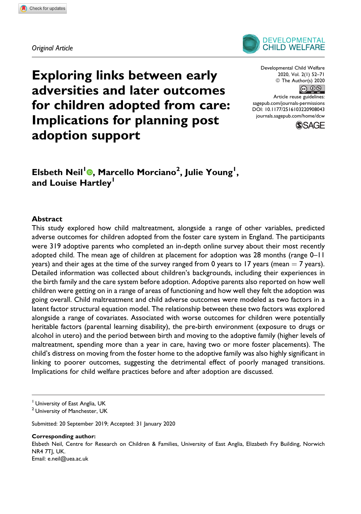

Exploring links between early adversities and later outcomes for children adopted from care: Implications for planning post adoption support

Developmental Child Welfare 2020, Vol. 2(1) 52–71 © The Author(s) 2020  $\circledcirc$ 

Article reuse guidelines: [sagepub.com/journals-permissions](https://sagepub.com/journals-permissions) [DOI: 10.1177/2516103220908043](https://doi.org/10.1177/2516103220908043) [journals.sagepub.com/home/dcw](http://journals.sagepub.com/home/dcw)



Elsbeth Neil<sup>l</sup>®[,](https://orcid.org/0000-0001-5655-7498) Marcello Morciano<sup>2</sup>, Julie Young<sup>1</sup>, and Louise Hartley<sup>1</sup>

#### Abstract

This study explored how child maltreatment, alongside a range of other variables, predicted adverse outcomes for children adopted from the foster care system in England. The participants were 319 adoptive parents who completed an in-depth online survey about their most recently adopted child. The mean age of children at placement for adoption was 28 months (range 0–11 years) and their ages at the time of the survey ranged from 0 years to 17 years (mean  $= 7$  years). Detailed information was collected about children's backgrounds, including their experiences in the birth family and the care system before adoption. Adoptive parents also reported on how well children were getting on in a range of areas of functioning and how well they felt the adoption was going overall. Child maltreatment and child adverse outcomes were modeled as two factors in a latent factor structural equation model. The relationship between these two factors was explored alongside a range of covariates. Associated with worse outcomes for children were potentially heritable factors (parental learning disability), the pre-birth environment (exposure to drugs or alcohol in utero) and the period between birth and moving to the adoptive family (higher levels of maltreatment, spending more than a year in care, having two or more foster placements). The child's distress on moving from the foster home to the adoptive family was also highly significant in linking to poorer outcomes, suggesting the detrimental effect of poorly managed transitions. Implications for child welfare practices before and after adoption are discussed.

<sup>1</sup> University of East Anglia, UK

<sup>2</sup> University of Manchester, UK

Submitted: 20 September 2019; Accepted: 31 January 2020

Corresponding author:

Elsbeth Neil, Centre for Research on Children & Families, University of East Anglia, Elizabeth Fry Building, Norwich NR4 7TJ, UK. Email: [e.neil@uea.ac.uk](mailto:e.neil@uea.ac.uk)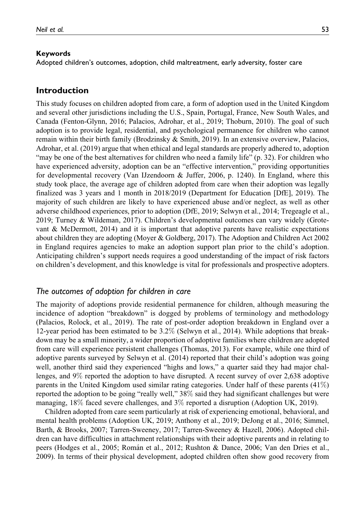#### Keywords

Adopted children's outcomes, adoption, child maltreatment, early adversity, foster care

## Introduction

This study focuses on children adopted from care, a form of adoption used in the United Kingdom and several other jurisdictions including the U.S., Spain, Portugal, France, New South Wales, and Canada (Fenton-Glynn, 2016; Palacios, Adrohar, et al., 2019; Thoburn, 2010). The goal of such adoption is to provide legal, residential, and psychological permanence for children who cannot remain within their birth family (Brodzinsky & Smith, 2019). In an extensive overview, Palacios, Adrohar, et al. (2019) argue that when ethical and legal standards are properly adhered to, adoption "may be one of the best alternatives for children who need a family life" (p. 32). For children who have experienced adversity, adoption can be an "effective intervention," providing opportunities for developmental recovery (Van IJzendoorn & Juffer, 2006, p. 1240). In England, where this study took place, the average age of children adopted from care when their adoption was legally finalized was 3 years and 1 month in 2018/2019 (Department for Education [DfE], 2019). The majority of such children are likely to have experienced abuse and/or neglect, as well as other adverse childhood experiences, prior to adoption (DfE, 2019; Selwyn et al., 2014; Tregeagle et al., 2019; Turney & Wildeman, 2017). Children's developmental outcomes can vary widely (Grotevant & McDermott, 2014) and it is important that adoptive parents have realistic expectations about children they are adopting (Moyer & Goldberg, 2017). The Adoption and Children Act 2002 in England requires agencies to make an adoption support plan prior to the child's adoption. Anticipating children's support needs requires a good understanding of the impact of risk factors on children's development, and this knowledge is vital for professionals and prospective adopters.

## The outcomes of adoption for children in care

The majority of adoptions provide residential permanence for children, although measuring the incidence of adoption "breakdown" is dogged by problems of terminology and methodology (Palacios, Rolock, et al., 2019). The rate of post-order adoption breakdown in England over a 12-year period has been estimated to be 3.2% (Selwyn et al., 2014). While adoptions that breakdown may be a small minority, a wider proportion of adoptive families where children are adopted from care will experience persistent challenges (Thomas, 2013). For example, while one third of adoptive parents surveyed by Selwyn et al. (2014) reported that their child's adoption was going well, another third said they experienced "highs and lows," a quarter said they had major challenges, and 9% reported the adoption to have disrupted. A recent survey of over 2,638 adoptive parents in the United Kingdom used similar rating categories. Under half of these parents (41%) reported the adoption to be going "really well," 38% said they had significant challenges but were managing, 18% faced severe challenges, and 3% reported a disruption (Adoption UK, 2019).

Children adopted from care seem particularly at risk of experiencing emotional, behavioral, and mental health problems (Adoption UK, 2019; Anthony et al., 2019; DeJong et al., 2016; Simmel, Barth, & Brooks, 2007; Tarren-Sweeney, 2017; Tarren-Sweeney & Hazell, 2006). Adopted children can have difficulties in attachment relationships with their adoptive parents and in relating to peers (Hodges et al., 2005; Rom´an et al., 2012; Rushton & Dance, 2006; Van den Dries et al., 2009). In terms of their physical development, adopted children often show good recovery from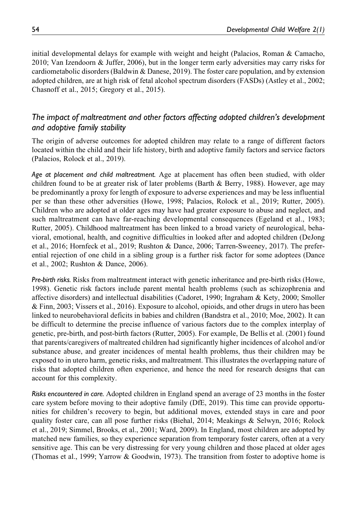initial developmental delays for example with weight and height (Palacios, Roman & Camacho, 2010; Van Izendoorn & Juffer, 2006), but in the longer term early adversities may carry risks for cardiometabolic disorders (Baldwin & Danese, 2019). The foster care population, and by extension adopted children, are at high risk of fetal alcohol spectrum disorders (FASDs) (Astley et al., 2002; Chasnoff et al., 2015; Gregory et al., 2015).

# The impact of maltreatment and other factors affecting adopted children's development and adoptive family stability

The origin of adverse outcomes for adopted children may relate to a range of different factors located within the child and their life history, birth and adoptive family factors and service factors (Palacios, Rolock et al., 2019).

Age at placement and child maltreatment. Age at placement has often been studied, with older children found to be at greater risk of later problems (Barth & Berry, 1988). However, age may be predominantly a proxy for length of exposure to adverse experiences and may be less influential per se than these other adversities (Howe, 1998; Palacios, Rolock et al., 2019; Rutter, 2005). Children who are adopted at older ages may have had greater exposure to abuse and neglect, and such maltreatment can have far-reaching developmental consequences (Egeland et al., 1983; Rutter, 2005). Childhood maltreatment has been linked to a broad variety of neurological, behavioral, emotional, health, and cognitive difficulties in looked after and adopted children (DeJong et al., 2016; Hornfeck et al., 2019; Rushton & Dance, 2006; Tarren-Sweeney, 2017). The preferential rejection of one child in a sibling group is a further risk factor for some adoptees (Dance et al., 2002; Rushton & Dance, 2006).

Pre-birth risks. Risks from maltreatment interact with genetic inheritance and pre-birth risks (Howe, 1998). Genetic risk factors include parent mental health problems (such as schizophrenia and affective disorders) and intellectual disabilities (Cadoret, 1990; Ingraham & Kety, 2000; Smoller & Finn, 2003; Vissers et al., 2016). Exposure to alcohol, opioids, and other drugs in utero has been linked to neurobehavioral deficits in babies and children (Bandstra et al., 2010; Moe, 2002). It can be difficult to determine the precise influence of various factors due to the complex interplay of genetic, pre-birth, and post-birth factors (Rutter, 2005). For example, De Bellis et al. (2001) found that parents/caregivers of maltreated children had significantly higher incidences of alcohol and/or substance abuse, and greater incidences of mental health problems, thus their children may be exposed to in utero harm, genetic risks, and maltreatment. This illustrates the overlapping nature of risks that adopted children often experience, and hence the need for research designs that can account for this complexity.

Risks encountered in care. Adopted children in England spend an average of 23 months in the foster care system before moving to their adoptive family (DfE, 2019). This time can provide opportunities for children's recovery to begin, but additional moves, extended stays in care and poor quality foster care, can all pose further risks (Biehal, 2014; Meakings & Selwyn, 2016; Rolock et al., 2019; Simmel, Brooks, et al., 2001; Ward, 2009). In England, most children are adopted by matched new families, so they experience separation from temporary foster carers, often at a very sensitive age. This can be very distressing for very young children and those placed at older ages (Thomas et al., 1999; Yarrow & Goodwin, 1973). The transition from foster to adoptive home is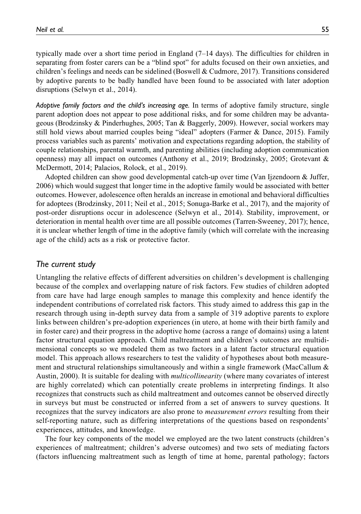typically made over a short time period in England (7–14 days). The difficulties for children in separating from foster carers can be a "blind spot" for adults focused on their own anxieties, and children's feelings and needs can be sidelined (Boswell & Cudmore, 2017). Transitions considered by adoptive parents to be badly handled have been found to be associated with later adoption disruptions (Selwyn et al., 2014).

Adoptive family factors and the child's increasing age. In terms of adoptive family structure, single parent adoption does not appear to pose additional risks, and for some children may be advantageous (Brodzinsky & Pinderhughes, 2005; Tan & Baggerly, 2009). However, social workers may still hold views about married couples being "ideal" adopters (Farmer & Dance, 2015). Family process variables such as parents' motivation and expectations regarding adoption, the stability of couple relationships, parental warmth, and parenting abilities (including adoption communication openness) may all impact on outcomes (Anthony et al., 2019; Brodzinsky, 2005; Grotevant & McDermott, 2014; Palacios, Rolock, et al., 2019).

Adopted children can show good developmental catch-up over time (Van Ijzendoorn & Juffer, 2006) which would suggest that longer time in the adoptive family would be associated with better outcomes. However, adolescence often heralds an increase in emotional and behavioral difficulties for adoptees (Brodzinsky, 2011; Neil et al., 2015; Sonuga-Barke et al., 2017), and the majority of post-order disruptions occur in adolescence (Selwyn et al., 2014). Stability, improvement, or deterioration in mental health over time are all possible outcomes (Tarren-Sweeney, 2017); hence, it is unclear whether length of time in the adoptive family (which will correlate with the increasing age of the child) acts as a risk or protective factor.

## The current study

Untangling the relative effects of different adversities on children's development is challenging because of the complex and overlapping nature of risk factors. Few studies of children adopted from care have had large enough samples to manage this complexity and hence identify the independent contributions of correlated risk factors. This study aimed to address this gap in the research through using in-depth survey data from a sample of 319 adoptive parents to explore links between children's pre-adoption experiences (in utero, at home with their birth family and in foster care) and their progress in the adoptive home (across a range of domains) using a latent factor structural equation approach. Child maltreatment and children's outcomes are multidimensional concepts so we modeled them as two factors in a latent factor structural equation model. This approach allows researchers to test the validity of hypotheses about both measurement and structural relationships simultaneously and within a single framework (MacCallum & Austin, 2000). It is suitable for dealing with *multicollinearity* (where many covariates of interest are highly correlated) which can potentially create problems in interpreting findings. It also recognizes that constructs such as child maltreatment and outcomes cannot be observed directly in surveys but must be constructed or inferred from a set of answers to survey questions. It recognizes that the survey indicators are also prone to measurement errors resulting from their self-reporting nature, such as differing interpretations of the questions based on respondents' experiences, attitudes, and knowledge.

The four key components of the model we employed are the two latent constructs (children's experiences of maltreatment; children's adverse outcomes) and two sets of mediating factors (factors influencing maltreatment such as length of time at home, parental pathology; factors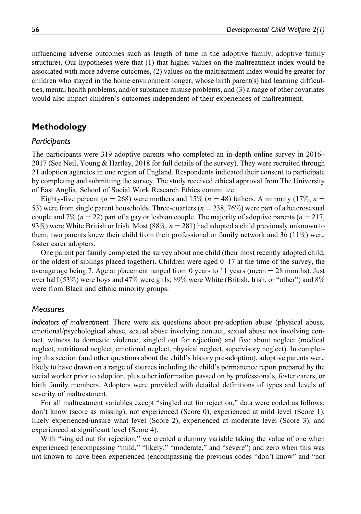influencing adverse outcomes such as length of time in the adoptive family, adoptive family structure). Our hypotheses were that (1) that higher values on the maltreatment index would be associated with more adverse outcomes, (2) values on the maltreatment index would be greater for children who stayed in the home environment longer, whose birth parent(s) had learning difficulties, mental health problems, and/or substance misuse problems, and (3) a range of other covariates would also impact children's outcomes independent of their experiences of maltreatment.

# Methodology

## **Particibants**

The participants were 319 adoptive parents who completed an in-depth online survey in 2016– 2017 (See Neil, Young & Hartley, 2018 for full details of the survey). They were recruited through 21 adoption agencies in one region of England. Respondents indicated their consent to participate by completing and submitting the survey. The study received ethical approval from The University of East Anglia, School of Social Work Research Ethics committee.

Eighty-five percent ( $n = 268$ ) were mothers and 15% ( $n = 48$ ) fathers. A minority (17%,  $n =$ 53) were from single parent households. Three-quarters ( $n = 238, 76\%$ ) were part of a heterosexual couple and 7% ( $n = 22$ ) part of a gay or lesbian couple. The majority of adoptive parents ( $n = 217$ , 93%) were White British or Irish. Most  $(88\%, n = 281)$  had adopted a child previously unknown to them; two parents knew their child from their professional or family network and 36 (11%) were foster carer adopters.

One parent per family completed the survey about one child (their most recently adopted child, or the oldest of siblings placed together). Children were aged 0–17 at the time of the survey, the average age being 7. Age at placement ranged from 0 years to 11 years (mean  $= 28$  months). Just over half (53%) were boys and 47% were girls; 89% were White (British, Irish, or "other") and 8% were from Black and ethnic minority groups.

## **Measures**

Indicators of maltreatment. There were six questions about pre-adoption abuse (physical abuse, emotional/psychological abuse, sexual abuse involving contact, sexual abuse not involving contact, witness to domestic violence, singled out for rejection) and five about neglect (medical neglect, nutritional neglect, emotional neglect, physical neglect, supervisory neglect). In completing this section (and other questions about the child's history pre-adoption), adoptive parents were likely to have drawn on a range of sources including the child's permanence report prepared by the social worker prior to adoption, plus other information passed on by professionals, foster carers, or birth family members. Adopters were provided with detailed definitions of types and levels of severity of maltreatment.

For all maltreatment variables except "singled out for rejection," data were coded as follows: don't know (score as missing), not experienced (Score 0), experienced at mild level (Score 1), likely experienced/unsure what level (Score 2), experienced at moderate level (Score 3), and experienced at significant level (Score 4).

With "singled out for rejection," we created a dummy variable taking the value of one when experienced (encompassing "mild," "likely," "moderate," and "severe") and zero when this was not known to have been experienced (encompassing the previous codes "don't know" and "not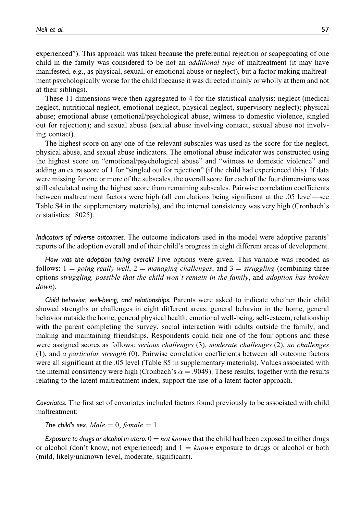experienced"). This approach was taken because the preferential rejection or scapegoating of one child in the family was considered to be not an *additional type* of maltreatment (it may have manifested, e.g., as physical, sexual, or emotional abuse or neglect), but a factor making maltreatment psychologically worse for the child (because it was directed mainly or wholly at them and not at their siblings).

These 11 dimensions were then aggregated to 4 for the statistical analysis: neglect (medical neglect, nutritional neglect, emotional neglect, physical neglect, supervisory neglect); physical abuse; emotional abuse (emotional/psychological abuse, witness to domestic violence, singled out for rejection); and sexual abuse (sexual abuse involving contact, sexual abuse not involving contact).

The highest score on any one of the relevant subscales was used as the score for the neglect, physical abuse, and sexual abuse indicators. The emotional abuse indicator was constructed using the highest score on "emotional/psychological abuse" and "witness to domestic violence" and adding an extra score of 1 for "singled out for rejection" (if the child had experienced this). If data were missing for one or more of the subscales, the overall score for each of the four dimensions was still calculated using the highest score from remaining subscales. Pairwise correlation coefficients between maltreatment factors were high (all correlations being significant at the .05 level—see Table S4 in the supplementary materials), and the internal consistency was very high (Cronbach's  $\alpha$  statistics: .8025).

Indicators of adverse outcomes. The outcome indicators used in the model were adoptive parents' reports of the adoption overall and of their child's progress in eight different areas of development.

How was the adoption faring overall? Five options were given. This variable was recoded as follows:  $1 = going \text{ really well}, 2 = \text{manging challenges},$  and  $3 = \text{strugging}$  (combining three options struggling, possible that the child won't remain in the family, and adoption has broken down).

Child behavior, well-being, and relationships. Parents were asked to indicate whether their child showed strengths or challenges in eight different areas: general behavior in the home, general behavior outside the home, general physical health, emotional well-being, self-esteem, relationship with the parent completing the survey, social interaction with adults outside the family, and making and maintaining friendships. Respondents could tick one of the four options and these were assigned scores as follows: serious challenges (3), moderate challenges (2), no challenges (1), and a particular strength (0). Pairwise correlation coefficients between all outcome factors were all significant at the .05 level (Table S5 in supplementary materials). Values associated with the internal consistency were high (Cronbach's  $\alpha = .9049$ ). These results, together with the results relating to the latent maltreatment index, support the use of a latent factor approach.

Covariates. The first set of covariates included factors found previously to be associated with child maltreatment:

The child's sex. Male  $= 0$ , female  $= 1$ .

Exposure to drugs or alcohol in utero.  $0 = not known$  that the child had been exposed to either drugs or alcohol (don't know, not experienced) and  $1 =$  known exposure to drugs or alcohol or both (mild, likely/unknown level, moderate, significant).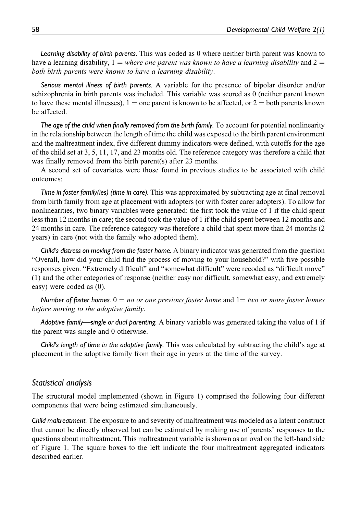Learning disability of birth parents. This was coded as 0 where neither birth parent was known to have a learning disability,  $1 =$  where one parent was known to have a learning disability and  $2 =$ both birth parents were known to have a learning disability.

Serious mental illness of birth parents. A variable for the presence of bipolar disorder and/or schizophrenia in birth parents was included. This variable was scored as 0 (neither parent known to have these mental illnesses),  $1 =$  one parent is known to be affected, or  $2 =$  both parents known be affected.

The age of the child when finally removed from the birth family. To account for potential nonlinearity in the relationship between the length of time the child was exposed to the birth parent environment and the maltreatment index, five different dummy indicators were defined, with cutoffs for the age of the child set at 3, 5, 11, 17, and 23 months old. The reference category was therefore a child that was finally removed from the birth parent(s) after 23 months.

A second set of covariates were those found in previous studies to be associated with child outcomes:

Time in foster family(ies) (time in care). This was approximated by subtracting age at final removal from birth family from age at placement with adopters (or with foster carer adopters). To allow for nonlinearities, two binary variables were generated: the first took the value of 1 if the child spent less than 12 months in care; the second took the value of 1 if the child spent between 12 months and 24 months in care. The reference category was therefore a child that spent more than 24 months (2 years) in care (not with the family who adopted them).

Child's distress on moving from the foster home. A binary indicator was generated from the question "Overall, how did your child find the process of moving to your household?" with five possible responses given. "Extremely difficult" and "somewhat difficult" were recoded as "difficult move" (1) and the other categories of response (neither easy nor difficult, somewhat easy, and extremely easy) were coded as (0).

Number of foster homes.  $0 = no$  or one previous foster home and  $1 = two$  or more foster homes before moving to the adoptive family.

Adoptive family—single or dual parenting. A binary variable was generated taking the value of 1 if the parent was single and 0 otherwise.

Child's length of time in the adoptive family. This was calculated by subtracting the child's age at placement in the adoptive family from their age in years at the time of the survey.

#### Statistical analysis

The structural model implemented (shown in Figure 1) comprised the following four different components that were being estimated simultaneously.

Child maltreatment. The exposure to and severity of maltreatment was modeled as a latent construct that cannot be directly observed but can be estimated by making use of parents' responses to the questions about maltreatment. This maltreatment variable is shown as an oval on the left-hand side of Figure 1. The square boxes to the left indicate the four maltreatment aggregated indicators described earlier.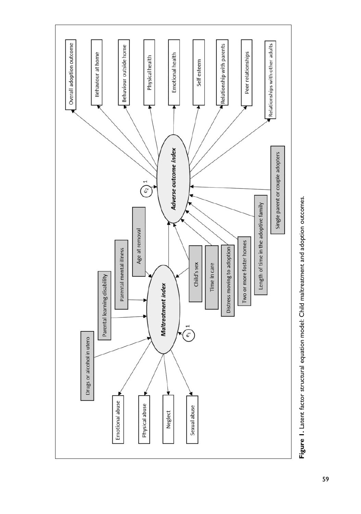

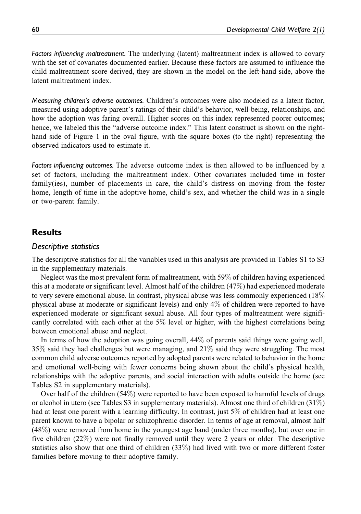Factors influencing maltreatment. The underlying (latent) maltreatment index is allowed to covary with the set of covariates documented earlier. Because these factors are assumed to influence the child maltreatment score derived, they are shown in the model on the left-hand side, above the latent maltreatment index.

Measuring children's adverse outcomes. Children's outcomes were also modeled as a latent factor, measured using adoptive parent's ratings of their child's behavior, well-being, relationships, and how the adoption was faring overall. Higher scores on this index represented poorer outcomes; hence, we labeled this the "adverse outcome index." This latent construct is shown on the righthand side of Figure 1 in the oval figure, with the square boxes (to the right) representing the observed indicators used to estimate it.

Factors influencing outcomes. The adverse outcome index is then allowed to be influenced by a set of factors, including the maltreatment index. Other covariates included time in foster family(ies), number of placements in care, the child's distress on moving from the foster home, length of time in the adoptive home, child's sex, and whether the child was in a single or two-parent family.

## Results

## Descriptive statistics

The descriptive statistics for all the variables used in this analysis are provided in Tables S1 to S3 in the supplementary materials.

Neglect was the most prevalent form of maltreatment, with 59% of children having experienced this at a moderate or significant level. Almost half of the children (47%) had experienced moderate to very severe emotional abuse. In contrast, physical abuse was less commonly experienced (18% physical abuse at moderate or significant levels) and only 4% of children were reported to have experienced moderate or significant sexual abuse. All four types of maltreatment were significantly correlated with each other at the 5% level or higher, with the highest correlations being between emotional abuse and neglect.

In terms of how the adoption was going overall,  $44\%$  of parents said things were going well, 35% said they had challenges but were managing, and 21% said they were struggling. The most common child adverse outcomes reported by adopted parents were related to behavior in the home and emotional well-being with fewer concerns being shown about the child's physical health, relationships with the adoptive parents, and social interaction with adults outside the home (see Tables S2 in supplementary materials).

Over half of the children (54%) were reported to have been exposed to harmful levels of drugs or alcohol in utero (see Tables S3 in supplementary materials). Almost one third of children (31%) had at least one parent with a learning difficulty. In contrast, just 5% of children had at least one parent known to have a bipolar or schizophrenic disorder. In terms of age at removal, almost half (48%) were removed from home in the youngest age band (under three months), but over one in five children (22%) were not finally removed until they were 2 years or older. The descriptive statistics also show that one third of children (33%) had lived with two or more different foster families before moving to their adoptive family.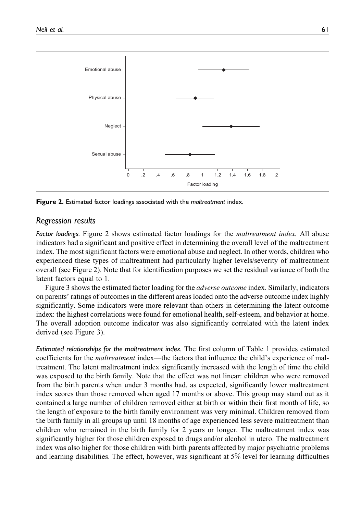

Figure 2. Estimated factor loadings associated with the maltreatment index.

## Regression results

Factor loadings. Figure 2 shows estimated factor loadings for the *maltreatment index*. All abuse indicators had a significant and positive effect in determining the overall level of the maltreatment index. The most significant factors were emotional abuse and neglect. In other words, children who experienced these types of maltreatment had particularly higher levels/severity of maltreatment overall (see Figure 2). Note that for identification purposes we set the residual variance of both the latent factors equal to 1.

Figure 3 shows the estimated factor loading for the adverse outcome index. Similarly, indicators on parents' ratings of outcomes in the different areas loaded onto the adverse outcome index highly significantly. Some indicators were more relevant than others in determining the latent outcome index: the highest correlations were found for emotional health, self-esteem, and behavior at home. The overall adoption outcome indicator was also significantly correlated with the latent index derived (see Figure 3).

Estimated relationships for the maltreatment index. The first column of Table 1 provides estimated coefficients for the *maltreatment* index—the factors that influence the child's experience of maltreatment. The latent maltreatment index significantly increased with the length of time the child was exposed to the birth family. Note that the effect was not linear: children who were removed from the birth parents when under 3 months had, as expected, significantly lower maltreatment index scores than those removed when aged 17 months or above. This group may stand out as it contained a large number of children removed either at birth or within their first month of life, so the length of exposure to the birth family environment was very minimal. Children removed from the birth family in all groups up until 18 months of age experienced less severe maltreatment than children who remained in the birth family for 2 years or longer. The maltreatment index was significantly higher for those children exposed to drugs and/or alcohol in utero. The maltreatment index was also higher for those children with birth parents affected by major psychiatric problems and learning disabilities. The effect, however, was significant at  $5\%$  level for learning difficulties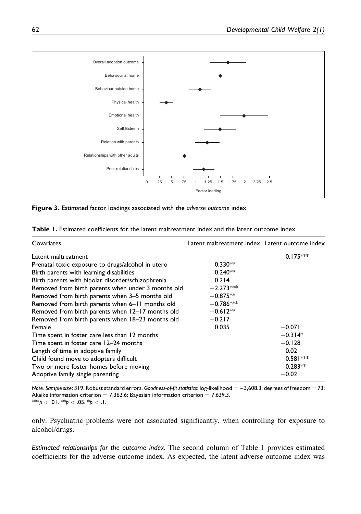

Figure 3. Estimated factor loadings associated with the adverse outcome index.

| <b>Table 1.</b> Estimated coefficients for the latent maltreatment index and the latent outcome index. |  |
|--------------------------------------------------------------------------------------------------------|--|
|--------------------------------------------------------------------------------------------------------|--|

| Covariates                                         | Latent maltreatment index Latent outcome index |            |
|----------------------------------------------------|------------------------------------------------|------------|
| Latent maltreatment                                |                                                | $0.175***$ |
| Prenatal toxic exposure to drugs/alcohol in utero  | $0.330**$                                      |            |
| Birth parents with learning disabilities           | $0.240**$                                      |            |
| Birth parents with bipolar disorder/schizophrenia  | 0.214                                          |            |
| Removed from birth parents when under 3 months old | $-2.273***$                                    |            |
| Removed from birth parents when 3-5 months old     | $-0.875**$                                     |            |
| Removed from birth parents when 6-11 months old    | $-0.786***$                                    |            |
| Removed from birth parents when 12-17 months old   | $-0.612**$                                     |            |
| Removed from birth parents when 18-23 months old   | $-0.217$                                       |            |
| Female                                             | 0.035                                          | $-0.071$   |
| Time spent in foster care less than 12 months      |                                                | $-0.314*$  |
| Time spent in foster care 12-24 months             |                                                | $-0.128$   |
| Length of time in adoptive family                  |                                                | 0.02       |
| Child found move to adopters difficult             |                                                | $0.581***$ |
| Two or more foster homes before moving             |                                                | $0.283**$  |
| Adoptive family single parenting                   |                                                | $-0.02$    |

Note. Sample size: 319. Robust standard errors. Goodness-of-fit statistics: log-likelihood  $=-3{,}608.3;$  degrees of freedom  $=73;$ Akaike information criterion  $= 7,362.6$ ; Bayesian information criterion  $= 7,639.3$ . \*\*\*p < .01. \*\*p < .05. \*p < .1.

only. Psychiatric problems were not associated significantly, when controlling for exposure to alcohol/drugs.

Estimated relationships for the outcome index. The second column of Table 1 provides estimated coefficients for the adverse outcome index. As expected, the latent adverse outcome index was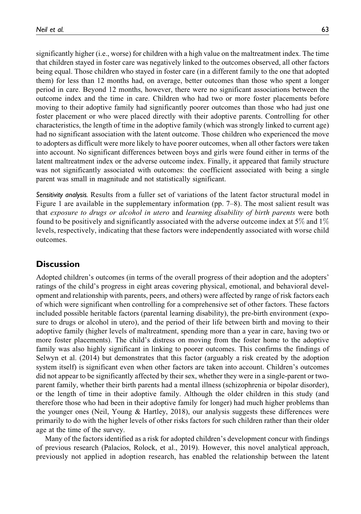significantly higher (i.e., worse) for children with a high value on the maltreatment index. The time that children stayed in foster care was negatively linked to the outcomes observed, all other factors being equal. Those children who stayed in foster care (in a different family to the one that adopted them) for less than 12 months had, on average, better outcomes than those who spent a longer period in care. Beyond 12 months, however, there were no significant associations between the outcome index and the time in care. Children who had two or more foster placements before moving to their adoptive family had significantly poorer outcomes than those who had just one foster placement or who were placed directly with their adoptive parents. Controlling for other characteristics, the length of time in the adoptive family (which was strongly linked to current age) had no significant association with the latent outcome. Those children who experienced the move to adopters as difficult were more likely to have poorer outcomes, when all other factors were taken into account. No significant differences between boys and girls were found either in terms of the latent maltreatment index or the adverse outcome index. Finally, it appeared that family structure was not significantly associated with outcomes: the coefficient associated with being a single parent was small in magnitude and not statistically significant.

Sensitivity analysis. Results from a fuller set of variations of the latent factor structural model in Figure 1 are available in the supplementary information (pp. 7–8). The most salient result was that exposure to drugs or alcohol in utero and learning disability of birth parents were both found to be positively and significantly associated with the adverse outcome index at 5% and 1% levels, respectively, indicating that these factors were independently associated with worse child outcomes.

## **Discussion**

Adopted children's outcomes (in terms of the overall progress of their adoption and the adopters' ratings of the child's progress in eight areas covering physical, emotional, and behavioral development and relationship with parents, peers, and others) were affected by range of risk factors each of which were significant when controlling for a comprehensive set of other factors. These factors included possible heritable factors (parental learning disability), the pre-birth environment (exposure to drugs or alcohol in utero), and the period of their life between birth and moving to their adoptive family (higher levels of maltreatment, spending more than a year in care, having two or more foster placements). The child's distress on moving from the foster home to the adoptive family was also highly significant in linking to poorer outcomes. This confirms the findings of Selwyn et al. (2014) but demonstrates that this factor (arguably a risk created by the adoption system itself) is significant even when other factors are taken into account. Children's outcomes did not appear to be significantly affected by their sex, whether they were in a single-parent or twoparent family, whether their birth parents had a mental illness (schizophrenia or bipolar disorder), or the length of time in their adoptive family. Although the older children in this study (and therefore those who had been in their adoptive family for longer) had much higher problems than the younger ones (Neil, Young & Hartley, 2018), our analysis suggests these differences were primarily to do with the higher levels of other risks factors for such children rather than their older age at the time of the survey.

Many of the factors identified as a risk for adopted children's development concur with findings of previous research (Palacios, Rolock, et al., 2019). However, this novel analytical approach, previously not applied in adoption research, has enabled the relationship between the latent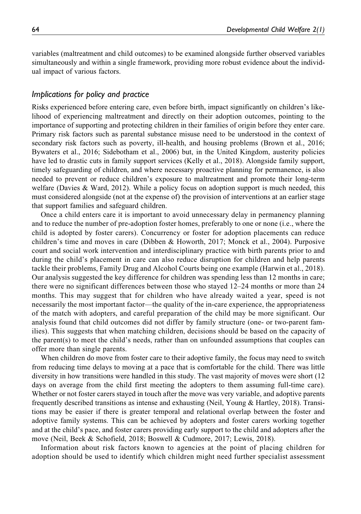variables (maltreatment and child outcomes) to be examined alongside further observed variables simultaneously and within a single framework, providing more robust evidence about the individual impact of various factors.

## Implications for policy and practice

Risks experienced before entering care, even before birth, impact significantly on children's likelihood of experiencing maltreatment and directly on their adoption outcomes, pointing to the importance of supporting and protecting children in their families of origin before they enter care. Primary risk factors such as parental substance misuse need to be understood in the context of secondary risk factors such as poverty, ill-health, and housing problems (Brown et al., 2016; Bywaters et al., 2016; Sidebotham et al., 2006) but, in the United Kingdom, austerity policies have led to drastic cuts in family support services (Kelly et al., 2018). Alongside family support, timely safeguarding of children, and where necessary proactive planning for permanence, is also needed to prevent or reduce children's exposure to maltreatment and promote their long-term welfare (Davies & Ward, 2012). While a policy focus on adoption support is much needed, this must considered alongside (not at the expense of) the provision of interventions at an earlier stage that support families and safeguard children.

Once a child enters care it is important to avoid unnecessary delay in permanency planning and to reduce the number of pre-adoption foster homes, preferably to one or none (i.e., where the child is adopted by foster carers). Concurrency or foster for adoption placements can reduce children's time and moves in care (Dibben & Howorth, 2017; Monck et al., 2004). Purposive court and social work intervention and interdisciplinary practice with birth parents prior to and during the child's placement in care can also reduce disruption for children and help parents tackle their problems, Family Drug and Alcohol Courts being one example (Harwin et al., 2018). Our analysis suggested the key difference for children was spending less than 12 months in care; there were no significant differences between those who stayed 12–24 months or more than 24 months. This may suggest that for children who have already waited a year, speed is not necessarily the most important factor—the quality of the in-care experience, the appropriateness of the match with adopters, and careful preparation of the child may be more significant. Our analysis found that child outcomes did not differ by family structure (one- or two-parent families). This suggests that when matching children, decisions should be based on the capacity of the parent(s) to meet the child's needs, rather than on unfounded assumptions that couples can offer more than single parents.

When children do move from foster care to their adoptive family, the focus may need to switch from reducing time delays to moving at a pace that is comfortable for the child. There was little diversity in how transitions were handled in this study. The vast majority of moves were short (12 days on average from the child first meeting the adopters to them assuming full-time care). Whether or not foster carers stayed in touch after the move was very variable, and adoptive parents frequently described transitions as intense and exhausting (Neil, Young & Hartley, 2018). Transitions may be easier if there is greater temporal and relational overlap between the foster and adoptive family systems. This can be achieved by adopters and foster carers working together and at the child's pace, and foster carers providing early support to the child and adopters after the move (Neil, Beek & Schofield, 2018; Boswell & Cudmore, 2017; Lewis, 2018).

Information about risk factors known to agencies at the point of placing children for adoption should be used to identify which children might need further specialist assessment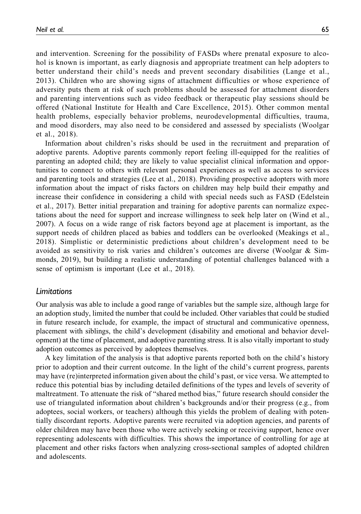and intervention. Screening for the possibility of FASDs where prenatal exposure to alcohol is known is important, as early diagnosis and appropriate treatment can help adopters to better understand their child's needs and prevent secondary disabilities (Lange et al., 2013). Children who are showing signs of attachment difficulties or whose experience of adversity puts them at risk of such problems should be assessed for attachment disorders and parenting interventions such as video feedback or therapeutic play sessions should be offered (National Institute for Health and Care Excellence, 2015). Other common mental health problems, especially behavior problems, neurodevelopmental difficulties, trauma, and mood disorders, may also need to be considered and assessed by specialists (Woolgar et al., 2018).

Information about children's risks should be used in the recruitment and preparation of adoptive parents. Adoptive parents commonly report feeling ill-equipped for the realities of parenting an adopted child; they are likely to value specialist clinical information and opportunities to connect to others with relevant personal experiences as well as access to services and parenting tools and strategies (Lee et al., 2018). Providing prospective adopters with more information about the impact of risks factors on children may help build their empathy and increase their confidence in considering a child with special needs such as FASD (Edelstein et al., 2017). Better initial preparation and training for adoptive parents can normalize expectations about the need for support and increase willingness to seek help later on (Wind et al., 2007). A focus on a wide range of risk factors beyond age at placement is important, as the support needs of children placed as babies and toddlers can be overlooked (Meakings et al., 2018). Simplistic or deterministic predictions about children's development need to be avoided as sensitivity to risk varies and children's outcomes are diverse (Woolgar & Simmonds, 2019), but building a realistic understanding of potential challenges balanced with a sense of optimism is important (Lee et al., 2018).

#### Limitations

Our analysis was able to include a good range of variables but the sample size, although large for an adoption study, limited the number that could be included. Other variables that could be studied in future research include, for example, the impact of structural and communicative openness, placement with siblings, the child's development (disability and emotional and behavior development) at the time of placement, and adoptive parenting stress. It is also vitally important to study adoption outcomes as perceived by adoptees themselves.

A key limitation of the analysis is that adoptive parents reported both on the child's history prior to adoption and their current outcome. In the light of the child's current progress, parents may have (re)interpreted information given about the child's past, or vice versa. We attempted to reduce this potential bias by including detailed definitions of the types and levels of severity of maltreatment. To attenuate the risk of "shared method bias," future research should consider the use of triangulated information about children's backgrounds and/or their progress (e.g., from adoptees, social workers, or teachers) although this yields the problem of dealing with potentially discordant reports. Adoptive parents were recruited via adoption agencies, and parents of older children may have been those who were actively seeking or receiving support, hence over representing adolescents with difficulties. This shows the importance of controlling for age at placement and other risks factors when analyzing cross-sectional samples of adopted children and adolescents.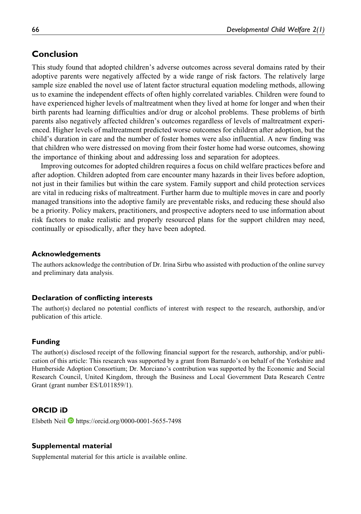# Conclusion

This study found that adopted children's adverse outcomes across several domains rated by their adoptive parents were negatively affected by a wide range of risk factors. The relatively large sample size enabled the novel use of latent factor structural equation modeling methods, allowing us to examine the independent effects of often highly correlated variables. Children were found to have experienced higher levels of maltreatment when they lived at home for longer and when their birth parents had learning difficulties and/or drug or alcohol problems. These problems of birth parents also negatively affected children's outcomes regardless of levels of maltreatment experienced. Higher levels of maltreatment predicted worse outcomes for children after adoption, but the child's duration in care and the number of foster homes were also influential. A new finding was that children who were distressed on moving from their foster home had worse outcomes, showing the importance of thinking about and addressing loss and separation for adoptees.

Improving outcomes for adopted children requires a focus on child welfare practices before and after adoption. Children adopted from care encounter many hazards in their lives before adoption, not just in their families but within the care system. Family support and child protection services are vital in reducing risks of maltreatment. Further harm due to multiple moves in care and poorly managed transitions into the adoptive family are preventable risks, and reducing these should also be a priority. Policy makers, practitioners, and prospective adopters need to use information about risk factors to make realistic and properly resourced plans for the support children may need, continually or episodically, after they have been adopted.

#### Acknowledgements

The authors acknowledge the contribution of Dr. Irina Sirbu who assisted with production of the online survey and preliminary data analysis.

#### Declaration of conflicting interests

The author(s) declared no potential conflicts of interest with respect to the research, authorship, and/or publication of this article.

#### Funding

The author(s) disclosed receipt of the following financial support for the research, authorship, and/or publication of this article: This research was supported by a grant from Barnardo's on behalf of the Yorkshire and Humberside Adoption Consortium; Dr. Morciano's contribution was supported by the Economic and Social Research Council, United Kingdom, through the Business and Local Government Data Research Centre Grant (grant number ES/L011859/1).

### ORCID iD

Elsbeth Neil  $\blacksquare$  <https://orcid.org/0000-0001-5655-7498>

#### Supplemental material

Supplemental material for this article is available online.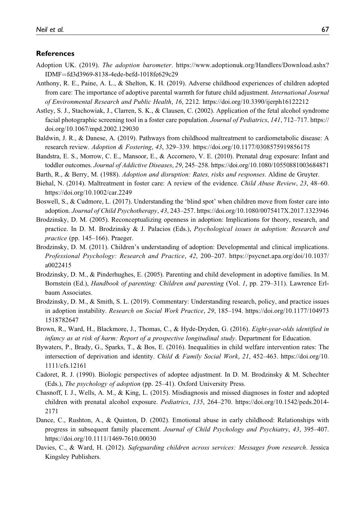#### **References**

- Adoption UK. (2019). The adoption barometer. [https://www.adoptionuk.org/Handlers/Download.ashx?](https://www.adoptionuk.org/Handlers/Download.ashx?IDMF=fd3d3969-8138-4ede-befd-1018fe629c29) [IDMF](https://www.adoptionuk.org/Handlers/Download.ashx?IDMF=fd3d3969-8138-4ede-befd-1018fe629c29)¼[fd3d3969-8138-4ede-befd-1018fe629c29](https://www.adoptionuk.org/Handlers/Download.ashx?IDMF=fd3d3969-8138-4ede-befd-1018fe629c29)
- Anthony, R. E., Paine, A. L., & Shelton, K. H. (2019). Adverse childhood experiences of children adopted from care: The importance of adoptive parental warmth for future child adjustment. International Journal of Environmental Research and Public Health, 16, 2212.<https://doi.org/10.3390/ijerph16122212>
- Astley, S. J., Stachowiak, J., Clarren, S. K., & Clausen, C. (2002). Application of the fetal alcohol syndrome facial photographic screening tool in a foster care population. Journal of Pediatrics, 141, 712–717. [https://](https://doi.org/10.1067/mpd.2002.129030) [doi.org/10.1067/mpd.2002.129030](https://doi.org/10.1067/mpd.2002.129030)
- Baldwin, J. R., & Danese, A. (2019). Pathways from childhood maltreatment to cardiometabolic disease: A research review. Adoption & Fostering, 43, 329–339.<https://doi.org/10.1177/0308575919856175>
- Bandstra, E. S., Morrow, C. E., Mansoor, E., & Accornero, V. E. (2010). Prenatal drug exposure: Infant and toddler outcomes. Journal of Addictive Diseases, 29, 245–258.<https://doi.org/10.1080/10550881003684871>
- Barth, R., & Berry, M. (1988). Adoption and disruption: Rates, risks and responses. Aldine de Gruyter.
- Biehal, N. (2014). Maltreatment in foster care: A review of the evidence. Child Abuse Review, 23, 48–60. <https://doi.org/10.1002/car.2249>
- Boswell, S., & Cudmore, L. (2017). Understanding the 'blind spot' when children move from foster care into adoption. Journal of Child Psychotherapy, 43, 243–257.<https://doi.org/10.1080/0075417X.2017.1323946>
- Brodzinsky, D. M. (2005). Reconceptualizing openness in adoption: Implications for theory, research, and practice. In D. M. Brodzinsky & J. Palacios (Eds.), Psychological issues in adoption: Research and practice (pp. 145–166). Praeger.
- Brodzinsky, D. M. (2011). Children's understanding of adoption: Developmental and clinical implications. Professional Psychology: Research and Practice, 42, 200–207. [https://psycnet.apa.org/doi/10.1037/](https://psycnet.apa.org/doi/10.1037/a0022415) [a0022415](https://psycnet.apa.org/doi/10.1037/a0022415)
- Brodzinsky, D. M., & Pinderhughes, E. (2005). Parenting and child development in adoptive families. In M. Bornstein (Ed.), Handbook of parenting: Children and parenting (Vol. 1, pp. 279–311). Lawrence Erlbaum Associates.
- Brodzinsky, D. M., & Smith, S. L. (2019). Commentary: Understanding research, policy, and practice issues in adoption instability. Research on Social Work Practice, 29, 185–194. [https://doi.org/10.1177/104973](https://doi.org/10.1177/1049731518782647) [1518782647](https://doi.org/10.1177/1049731518782647)
- Brown, R., Ward, H., Blackmore, J., Thomas, C., & Hyde-Dryden, G. (2016). Eight-year-olds identified in infancy as at risk of harm: Report of a prospective longitudinal study. Department for Education.
- Bywaters, P., Brady, G., Sparks, T., & Bos, E. (2016). Inequalities in child welfare intervention rates: The intersection of deprivation and identity. Child & Family Social Work, 21, 452–463. [https://doi.org/10.](https://doi.org/10.1111/cfs.12161) [1111/cfs.12161](https://doi.org/10.1111/cfs.12161)
- Cadoret, R. J. (1990). Biologic perspectives of adoptee adjustment. In D. M. Brodzinsky & M. Schechter (Eds.), The psychology of adoption (pp. 25–41). Oxford University Press.
- Chasnoff, I. J., Wells, A. M., & King, L. (2015). Misdiagnosis and missed diagnoses in foster and adopted children with prenatal alcohol exposure. Pediatrics, 135, 264–270. [https://doi.org/10.1542/peds.2014-](https://doi.org/10.1542/peds.2014-2171) [2171](https://doi.org/10.1542/peds.2014-2171)
- Dance, C., Rushton, A., & Quinton, D. (2002). Emotional abuse in early childhood: Relationships with progress in subsequent family placement. Journal of Child Psychology and Psychiatry, 43, 395–407. <https://doi.org/10.1111/1469-7610.00030>
- Davies, C., & Ward, H. (2012). Safeguarding children across services: Messages from research. Jessica Kingsley Publishers.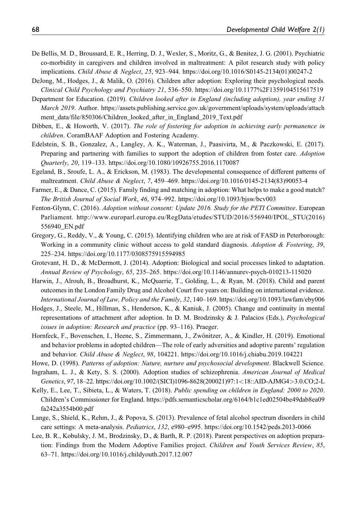- De Bellis, M. D., Broussard, E. R., Herring, D. J., Wexler, S., Moritz, G., & Benitez, J. G. (2001). Psychiatric co-morbidity in caregivers and children involved in maltreatment: A pilot research study with policy implications. Child Abuse & Neglect, 25, 923–944. [https://doi.org/10.1016/S0145-2134\(01\)00247-2](https://doi.org/10.1016/S0145-2134(01)00247-2)
- DeJong, M., Hodges, J., & Malik, O. (2016). Children after adoption: Exploring their psychological needs. Clinical Child Psychology and Psychiatry 21, 536–550.<https://doi.org/10.1177%2F1359104515617519>
- Department for Education. (2019). Children looked after in England (including adoption), year ending 31 March 2019. Author. [https://assets.publishing.service.gov.uk/government/uploads/system/uploads/attach](https://assets.publishing.service.gov.uk/government/uploads/system/uploads/attachment_data/file/850306/Children_looked_after_in_England_2019_Text.pdf) ment data/file/850306/Children\_looked\_after\_in\_England\_2019\_Text.pdf
- Dibben, E., & Howorth, V. (2017). The role of fostering for adoption in achieving early permanence in children. CoramBAAF Adoption and Fostering Academy.
- Edelstein, S. B., Gonzalez, A., Langley, A. K., Waterman, J., Paasivirta, M., & Paczkowski, E. (2017). Preparing and partnering with families to support the adoption of children from foster care. Adoption Quarterly, 20, 119–133.<https://doi.org/10.1080/10926755.2016.1170087>
- Egeland, B., Sroufe, L. A., & Erickson, M. (1983). The developmental consequence of different patterns of maltreatment. Child Abuse & Neglect, 7, 459–469. [https://doi.org/10.1016/0145-2134\(83\)90053-4](https://doi.org/10.1016/0145-2134(83)90053-4)
- Farmer, E., & Dance, C. (2015). Family finding and matching in adoption: What helps to make a good match? The British Journal of Social Work, 46, 974–992.<https://doi.org/10.1093/bjsw/bcv003>
- Fenton-Glynn, C. (2016). Adoption without consent: Update 2016. Study for the PETI Committee. European Parliament. [http://www.europarl.europa.eu/RegData/etudes/STUD/2016/556940/IPOL\\_STU\(2016\)](http://www.europarl.europa.eu/RegData/etudes/STUD/2016/556940/IPOL_STU(2016)556940_EN.pdf) [556940\\_EN.pdf](http://www.europarl.europa.eu/RegData/etudes/STUD/2016/556940/IPOL_STU(2016)556940_EN.pdf)
- Gregory, G., Reddy, V., & Young, C. (2015). Identifying children who are at risk of FASD in Peterborough: Working in a community clinic without access to gold standard diagnosis. Adoption & Fostering, 39, 225–234.<https://doi.org/10.1177/0308575915594985>
- Grotevant, H. D., & McDermott, J. (2014). Adoption: Biological and social processes linked to adaptation. Annual Review of Psychology, 65, 235–265.<https://doi.org/10.1146/annurev-psych-010213-115020>
- Harwin, J., Alrouh, B., Broadhurst, K., McQuarrie, T., Golding, L., & Ryan, M. (2018). Child and parent outcomes in the London Family Drug and Alcohol Court five years on: Building on international evidence. International Journal of Law, Policy and the Family, 32, 140–169.<https://doi.org/10.1093/lawfam/eby006>
- Hodges, J., Steele, M., Hillman, S., Henderson, K., & Kaniuk, J. (2005). Change and continuity in mental representations of attachment after adoption. In D. M. Brodzinsky & J. Palacios (Eds.), Psychological issues in adoption: Research and practice (pp. 93–116). Praeger.
- Hornfeck, F., Bovenschen, I., Heene, S., Zimmermann, J., Zwönitzer, A., & Kindler, H. (2019). Emotional and behavior problems in adopted children—The role of early adversities and adoptive parents' regulation and behavior. Child Abuse & Neglect, 98, 104221.<https://doi.org/10.1016/j.chiabu.2019.104221>
- Howe, D. (1998). Patterns of adoption: Nature, nurture and psychosocial development. Blackwell Science.
- Ingraham, L. J., & Kety, S. S. (2000). Adoption studies of schizophrenia. American Journal of Medical Genetics, 97, 18–22. [https://doi.org/10.1002/\(SICI\)1096-8628\(200021\)97:1](https://doi.org/10.1002/(SICI)1096-8628(200021)97:1<18::AID-AJMG4>3.0.CO;2-L)<[18::AID-AJMG4](https://doi.org/10.1002/(SICI)1096-8628(200021)97:1<18::AID-AJMG4>3.0.CO;2-L)>[3.0.CO;2-L](https://doi.org/10.1002/(SICI)1096-8628(200021)97:1<18::AID-AJMG4>3.0.CO;2-L)
- Kelly, E., Lee, T., Sibieta, L., & Waters, T. (2018). Public spending on children in England: 2000 to 2020. Children's Commissioner for England. [https://pdfs.semanticscholar.org/6164/b1c1ed02504be49dab8ea09](https://pdfs.semanticscholar.org/6164/b1c1ed02504be49dab8ea09fa242a3554b00.pdf) [fa242a3554b00.pdf](https://pdfs.semanticscholar.org/6164/b1c1ed02504be49dab8ea09fa242a3554b00.pdf)
- Lange, S., Shield, K., Rehm, J., & Popova, S. (2013). Prevalence of fetal alcohol spectrum disorders in child care settings: A meta-analysis. Pediatrics, 132, e980–e995.<https://doi.org/10.1542/peds.2013-0066>
- Lee, B. R., Kobulsky, J. M., Brodzinsky, D., & Barth, R. P. (2018). Parent perspectives on adoption preparation: Findings from the Modern Adoptive Families project. Children and Youth Services Review, 85, 63–71.<https://doi.org/10.1016/j.childyouth.2017.12.007>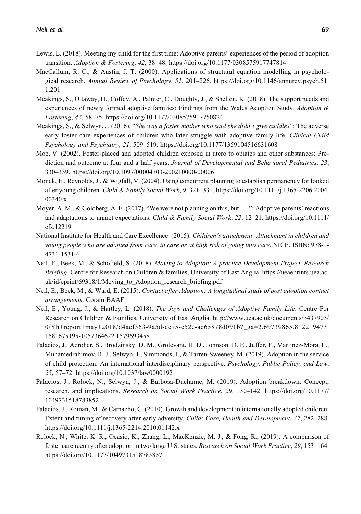- Lewis, L. (2018). Meeting my child for the first time: Adoptive parents' experiences of the period of adoption transition. Adoption & Fostering, 42, 38–48.<https://doi.org/10.1177/0308575917747814>
- MacCallum, R. C., & Austin, J. T. (2000). Applications of structural equation modelling in psychological research. Annual Review of Psychology, 51, 201–226. [https://doi.org/10.1146/annurev.psych.51.](https://doi.org/10.1146/annurev.psych.51.1.201) [1.201](https://doi.org/10.1146/annurev.psych.51.1.201)
- Meakings, S., Ottaway, H., Coffey, A., Palmer, C., Doughty, J., & Shelton, K. (2018). The support needs and experiences of newly formed adoptive families: Findings from the Wales Adoption Study. Adoption & Fostering, 42, 58–75.<https://doi.org/10.1177/0308575917750824>
- Meakings, S., & Selwyn, J. (2016). "She was a foster mother who said she didn't give cuddles": The adverse early foster care experiences of children who later struggle with adoptive family life. Clinical Child Psychology and Psychiatry, 21, 509–519.<https://doi.org/10.1177/1359104516631608>
- Moe, V. (2002). Foster-placed and adopted children exposed in utero to opiates and other substances: Prediction and outcome at four and a half years. Journal of Developmental and Behavioral Pediatrics, 23, 330–339.<https://doi.org/10.1097/00004703-200210000-00006>
- Monck, E., Reynolds, J., & Wigfall, V. (2004). Using concurrent planning to establish permanency for looked after young children. Child & Family Social Work, 9, 321–331. [https://doi.org/10.1111/j.1365-2206.2004.](https://doi.org/10.1111/j.1365-2206.2004.00340.x) [00340.x](https://doi.org/10.1111/j.1365-2206.2004.00340.x)
- Moyer, A. M., & Goldberg, A. E. (2017). "We were not planning on this, but ... ": Adoptive parents' reactions and adaptations to unmet expectations. Child & Family Social Work, 22, 12–21. [https://doi.org/10.1111/](https://doi.org/10.1111/cfs.12219) [cfs.12219](https://doi.org/10.1111/cfs.12219)
- National Institute for Health and Care Excellence. (2015). Children's attachment: Attachment in children and young people who are adopted from care, in care or at high risk of going into care. NICE. ISBN: 978-1- 4731-1531-6
- Neil, E., Beek, M., & Schofield, S. (2018). Moving to Adoption: A practice Development Project. Research Briefing. Centre for Research on Children & families, University of East Anglia. [https://ueaeprints.uea.ac.](https://ueaeprints.uea.ac.uk/id/eprint/69318/1/Moving_to_Adoption_research_briefing.pdf) [uk/id/eprint/69318/1/Moving\\_to\\_Adoption\\_research\\_briefing.pdf](https://ueaeprints.uea.ac.uk/id/eprint/69318/1/Moving_to_Adoption_research_briefing.pdf)
- Neil, E., Beek, M., & Ward, E. (2015). Contact after Adoption: A longitudinal study of post adoption contact arrangements. Coram BAAF.
- Neil, E., Young, J., & Hartley, L. (2018). The Joys and Challenges of Adoptive Family Life. Centre For Research on Children & Families, University of East Anglia. [http://www.uea.ac.uk/documents/3437903/](http://www.uea.ac.uk/documents/3437903/0/Yh+report+may+2018/d4acf363-9a5d-ee95-c52e-ae65878d091b?_ga=2.69739865.812219473.1581675195-1057364622.1579693458) [0/Yh+report+may+2018/d4acf363-9a5d-ee95-c52e-ae65878d091b?\\_ga=2.69739865.812219473.](http://www.uea.ac.uk/documents/3437903/0/Yh+report+may+2018/d4acf363-9a5d-ee95-c52e-ae65878d091b?_ga=2.69739865.812219473.1581675195-1057364622.1579693458) [1581675195-1057364622.1579693458](http://www.uea.ac.uk/documents/3437903/0/Yh+report+may+2018/d4acf363-9a5d-ee95-c52e-ae65878d091b?_ga=2.69739865.812219473.1581675195-1057364622.1579693458)
- Palacios, J., Adroher, S., Brodzinsky, D. M., Grotevant, H. D., Johnson, D. E., Juffer, F., Martinez-Mora, L., Muhamedrahimov, R. J., Selwyn, J., Simmonds, J., & Tarren-Sweeney, M. (2019). Adoption in the service of child protection: An international interdisciplinary perspective. Psychology, Public Policy, and Law, 25, 57–72.<https://doi.org/10.1037/law0000192>
- Palacios, J., Rolock, N., Selwyn, J., & Barbosa-Ducharne, M. (2019). Adoption breakdown: Concept, research, and implications. Research on Social Work Practice, 29, 130–142. [https://doi.org/10.1177/](https://doi.org/10.1177/1049731518783852) [1049731518783852](https://doi.org/10.1177/1049731518783852)
- Palacios, J., Roman, M., & Camacho, C. (2010). Growth and development in internationally adopted children: Extent and timing of recovery after early adversity. Child: Care, Health and Development, 37, 282–288. <https://doi.org/10.1111/j.1365-2214.2010.01142.x>
- Rolock, N., White, K. R., Ocasio, K., Zhang, L., MacKenzie, M. J., & Fong, R., (2019). A comparison of foster care reentry after adoption in two large U.S. states. Research on Social Work Practice, 29, 153–164. <https://doi.org/10.1177/1049731518783857>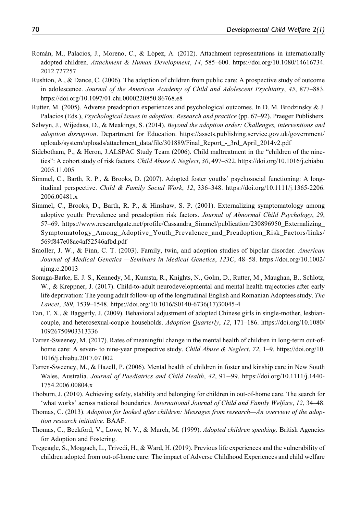- Román, M., Palacios, J., Moreno, C., & López, A. (2012). Attachment representations in internationally adopted children. Attachment & Human Development, 14, 585–600. [https://doi.org/10.1080/14616734.](https://doi.org/10.1080/14616734.2012.727257) [2012.727257](https://doi.org/10.1080/14616734.2012.727257)
- Rushton, A., & Dance, C. (2006). The adoption of children from public care: A prospective study of outcome in adolescence. Journal of the American Academy of Child and Adolescent Psychiatry, 45, 877–883. <https://doi.org/10.1097/01.chi.0000220850.86768.e8>
- Rutter, M. (2005). Adverse preadoption experiences and psychological outcomes. In D. M. Brodzinsky & J. Palacios (Eds.), Psychological issues in adoption: Research and practice (pp. 67–92). Praeger Publishers.
- Selwyn, J., Wijedasa, D., & Meakings, S. (2014). Beyond the adoption order: Challenges, interventions and adoption disruption. Department for Education. [https://assets.publishing.service.gov.uk/government/](https://assets.publishing.service.gov.uk/government/uploads/system/uploads/attachment_data/file/301889/Final_Report_-_3rd_April_2014v2.pdf) [uploads/system/uploads/attachment\\_data/file/301889/Final\\_Report\\_-\\_3rd\\_April\\_2014v2.pdf](https://assets.publishing.service.gov.uk/government/uploads/system/uploads/attachment_data/file/301889/Final_Report_-_3rd_April_2014v2.pdf)
- Sidebotham, P., & Heron, J.ALSPAC Study Team (2006). Child maltreatment in the "children of the nineties": A cohort study of risk factors. *Child Abuse & Neglect*, 30, 497–522. [https://doi.org/10.1016/j.chiabu.](https://doi.org/10.1016/j.chiabu.2005.11.005) [2005.11.005](https://doi.org/10.1016/j.chiabu.2005.11.005)
- Simmel, C., Barth, R. P., & Brooks, D. (2007). Adopted foster youths' psychosocial functioning: A longitudinal perspective. Child & Family Social Work, 12, 336–348. [https://doi.org/10.1111/j.1365-2206.](https://doi.org/10.1111/j.1365-2206.2006.00481.x) [2006.00481.x](https://doi.org/10.1111/j.1365-2206.2006.00481.x)
- Simmel, C., Brooks, D., Barth, R. P., & Hinshaw, S. P. (2001). Externalizing symptomatology among adoptive youth: Prevalence and preadoption risk factors. Journal of Abnormal Child Psychology, 29, 57–69. [https://www.researchgate.net/profile/Cassandra\\_Simmel/publication/230896950\\_Externalizing\\_](https://www.researchgate.net/profile/Cassandra_Simmel/publication/230896950_Externalizing_Symptomatology_Among_Adoptive_Youth_Prevalence_and_Preadoption_Risk_Factors/links/569f847e08ae4af52546afbd.pdf) [Symptomatology\\_Among\\_Adoptive\\_Youth\\_Prevalence\\_and\\_Preadoption\\_Risk\\_Factors/links/](https://www.researchgate.net/profile/Cassandra_Simmel/publication/230896950_Externalizing_Symptomatology_Among_Adoptive_Youth_Prevalence_and_Preadoption_Risk_Factors/links/569f847e08ae4af52546afbd.pdf) [569f847e08ae4af52546afbd.pdf](https://www.researchgate.net/profile/Cassandra_Simmel/publication/230896950_Externalizing_Symptomatology_Among_Adoptive_Youth_Prevalence_and_Preadoption_Risk_Factors/links/569f847e08ae4af52546afbd.pdf)
- Smoller, J. W., & Finn, C. T. (2003). Family, twin, and adoption studies of bipolar disorder. American Journal of Medical Genetics —Seminars in Medical Genetics, 123C, 48–58. [https://doi.org/10.1002/](https://doi.org/10.1002/ajmg.c.20013) [ajmg.c.20013](https://doi.org/10.1002/ajmg.c.20013)
- Sonuga-Barke, E. J. S., Kennedy, M., Kumsta, R., Knights, N., Golm, D., Rutter, M., Maughan, B., Schlotz, W., & Kreppner, J. (2017). Child-to-adult neurodevelopmental and mental health trajectories after early life deprivation: The young adult follow-up of the longitudinal English and Romanian Adoptees study. The Lancet, 389, 1539–1548. [https://doi.org/10.1016/S0140-6736\(17\)30045-4](https://doi.org/10.1016/S0140-6736(17)30045-4)
- Tan, T. X., & Baggerly, J. (2009). Behavioral adjustment of adopted Chinese girls in single-mother, lesbiancouple, and heterosexual-couple households. Adoption Quarterly, 12, 171–186. [https://doi.org/10.1080/](https://doi.org/10.1080/10926750903313336) [10926750903313336](https://doi.org/10.1080/10926750903313336)
- Tarren-Sweeney, M. (2017). Rates of meaningful change in the mental health of children in long-term out-ofhome care: A seven- to nine-year prospective study. Child Abuse & Neglect, 72, 1–9. [https://doi.org/10.](https://doi.org/10.1016/j.chiabu.2017.07.002) [1016/j.chiabu.2017.07.002](https://doi.org/10.1016/j.chiabu.2017.07.002)
- Tarren-Sweeney, M., & Hazell, P. (2006). Mental health of children in foster and kinship care in New South Wales, Australia. Journal of Paediatrics and Child Health, 42, 91-99. [https://doi.org/10.1111/j.1440-](https://doi.org/10.1111/j.1440-1754.2006.00804.x) [1754.2006.00804.x](https://doi.org/10.1111/j.1440-1754.2006.00804.x)
- Thoburn, J. (2010). Achieving safety, stability and belonging for children in out-of-home care. The search for 'what works' across national boundaries. International Journal of Child and Family Welfare, 12, 34–48.
- Thomas, C. (2013). Adoption for looked after children: Messages from research—An overview of the adoption research initiative. BAAF.
- Thomas, C., Beckford, V., Lowe, N. V., & Murch, M. (1999). Adopted children speaking. British Agencies for Adoption and Fostering.
- Tregeagle, S., Moggach, L., Trivedi, H., & Ward, H. (2019). Previous life experiences and the vulnerability of children adopted from out-of-home care: The impact of Adverse Childhood Experiences and child welfare